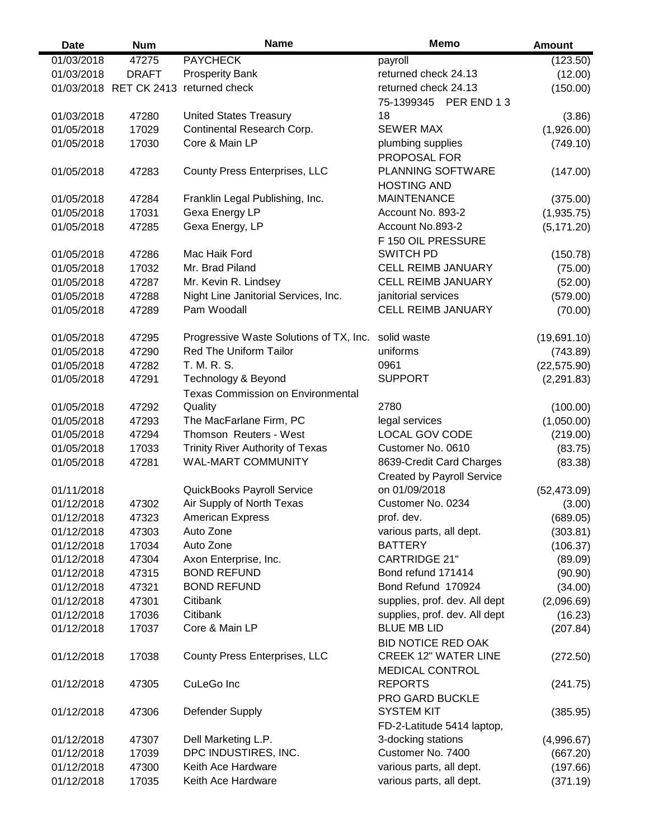| <b>Date</b> | <b>Num</b>             | <b>Name</b>                              | <b>Memo</b>                       | <b>Amount</b> |
|-------------|------------------------|------------------------------------------|-----------------------------------|---------------|
| 01/03/2018  | 47275                  | <b>PAYCHECK</b>                          | payroll                           | (123.50)      |
| 01/03/2018  | <b>DRAFT</b>           | <b>Prosperity Bank</b>                   | returned check 24.13              | (12.00)       |
|             | 01/03/2018 RET CK 2413 | returned check                           | returned check 24.13              | (150.00)      |
|             |                        |                                          | 75-1399345 PER END 13             |               |
| 01/03/2018  | 47280                  | <b>United States Treasury</b>            | 18                                | (3.86)        |
| 01/05/2018  | 17029                  | Continental Research Corp.               | <b>SEWER MAX</b>                  | (1,926.00)    |
| 01/05/2018  | 17030                  | Core & Main LP                           | plumbing supplies                 | (749.10)      |
|             |                        |                                          | PROPOSAL FOR                      |               |
| 01/05/2018  | 47283                  | <b>County Press Enterprises, LLC</b>     | <b>PLANNING SOFTWARE</b>          | (147.00)      |
|             |                        |                                          | <b>HOSTING AND</b>                |               |
| 01/05/2018  | 47284                  | Franklin Legal Publishing, Inc.          | <b>MAINTENANCE</b>                | (375.00)      |
| 01/05/2018  | 17031                  | Gexa Energy LP                           | Account No. 893-2                 | (1,935.75)    |
| 01/05/2018  | 47285                  | Gexa Energy, LP                          | Account No.893-2                  | (5, 171.20)   |
|             |                        |                                          | F 150 OIL PRESSURE                |               |
| 01/05/2018  | 47286                  | Mac Haik Ford                            | <b>SWITCH PD</b>                  | (150.78)      |
| 01/05/2018  | 17032                  | Mr. Brad Piland                          | <b>CELL REIMB JANUARY</b>         | (75.00)       |
| 01/05/2018  | 47287                  | Mr. Kevin R. Lindsey                     | <b>CELL REIMB JANUARY</b>         | (52.00)       |
| 01/05/2018  | 47288                  | Night Line Janitorial Services, Inc.     | janitorial services               | (579.00)      |
| 01/05/2018  | 47289                  | Pam Woodall                              | <b>CELL REIMB JANUARY</b>         | (70.00)       |
|             |                        |                                          |                                   |               |
| 01/05/2018  | 47295                  | Progressive Waste Solutions of TX, Inc.  | solid waste                       | (19,691.10)   |
| 01/05/2018  | 47290                  | <b>Red The Uniform Tailor</b>            | uniforms                          | (743.89)      |
| 01/05/2018  | 47282                  | T. M. R. S.                              | 0961                              | (22, 575.90)  |
| 01/05/2018  | 47291                  | Technology & Beyond                      | <b>SUPPORT</b>                    | (2, 291.83)   |
|             |                        | <b>Texas Commission on Environmental</b> |                                   |               |
| 01/05/2018  | 47292                  | Quality                                  | 2780                              | (100.00)      |
| 01/05/2018  | 47293                  | The MacFarlane Firm, PC                  | legal services                    | (1,050.00)    |
| 01/05/2018  | 47294                  | Thomson Reuters - West                   | <b>LOCAL GOV CODE</b>             | (219.00)      |
| 01/05/2018  | 17033                  | <b>Trinity River Authority of Texas</b>  | Customer No. 0610                 | (83.75)       |
| 01/05/2018  | 47281                  | WAL-MART COMMUNITY                       | 8639-Credit Card Charges          | (83.38)       |
|             |                        |                                          | <b>Created by Payroll Service</b> |               |
| 01/11/2018  |                        | QuickBooks Payroll Service               | on 01/09/2018                     | (52, 473.09)  |
| 01/12/2018  | 47302                  | Air Supply of North Texas                | Customer No. 0234                 | (3.00)        |
| 01/12/2018  | 47323                  | <b>American Express</b>                  | prof. dev.                        | (689.05)      |
| 01/12/2018  | 47303                  | Auto Zone                                | various parts, all dept.          | (303.81)      |
| 01/12/2018  | 17034                  | Auto Zone                                | <b>BATTERY</b>                    | (106.37)      |
| 01/12/2018  | 47304                  | Axon Enterprise, Inc.                    | <b>CARTRIDGE 21"</b>              | (89.09)       |
| 01/12/2018  | 47315                  | <b>BOND REFUND</b>                       | Bond refund 171414                | (90.90)       |
| 01/12/2018  | 47321                  | <b>BOND REFUND</b>                       | Bond Refund 170924                | (34.00)       |
| 01/12/2018  | 47301                  | Citibank                                 | supplies, prof. dev. All dept     | (2,096.69)    |
| 01/12/2018  | 17036                  | Citibank                                 | supplies, prof. dev. All dept     | (16.23)       |
| 01/12/2018  | 17037                  | Core & Main LP                           | <b>BLUE MB LID</b>                | (207.84)      |
|             |                        |                                          | <b>BID NOTICE RED OAK</b>         |               |
| 01/12/2018  | 17038                  | County Press Enterprises, LLC            | <b>CREEK 12" WATER LINE</b>       | (272.50)      |
|             |                        |                                          | <b>MEDICAL CONTROL</b>            |               |
| 01/12/2018  | 47305                  | CuLeGo Inc                               | <b>REPORTS</b>                    | (241.75)      |
|             |                        |                                          | PRO GARD BUCKLE                   |               |
| 01/12/2018  | 47306                  | Defender Supply                          | <b>SYSTEM KIT</b>                 | (385.95)      |
|             |                        |                                          | FD-2-Latitude 5414 laptop,        |               |
| 01/12/2018  | 47307                  | Dell Marketing L.P.                      | 3-docking stations                | (4,996.67)    |
| 01/12/2018  | 17039                  | DPC INDUSTIRES, INC.                     | Customer No. 7400                 | (667.20)      |
| 01/12/2018  | 47300                  | Keith Ace Hardware                       | various parts, all dept.          | (197.66)      |
| 01/12/2018  | 17035                  | Keith Ace Hardware                       | various parts, all dept.          | (371.19)      |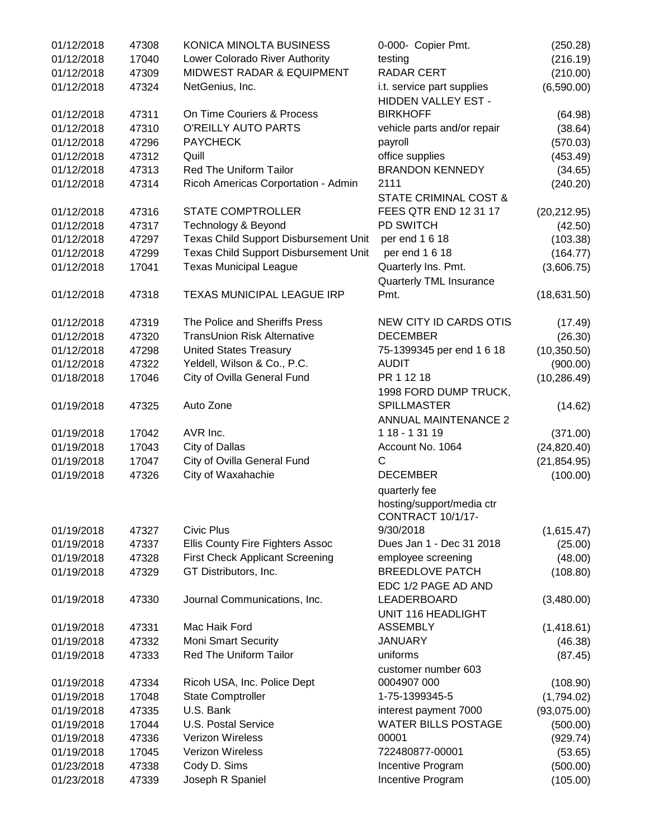| 01/12/2018 | 47308 | KONICA MINOLTA BUSINESS                      | 0-000- Copier Pmt.             | (250.28)     |
|------------|-------|----------------------------------------------|--------------------------------|--------------|
| 01/12/2018 | 17040 | Lower Colorado River Authority               | testing                        | (216.19)     |
| 01/12/2018 | 47309 | MIDWEST RADAR & EQUIPMENT                    | <b>RADAR CERT</b>              | (210.00)     |
| 01/12/2018 | 47324 | NetGenius, Inc.                              | i.t. service part supplies     | (6,590.00)   |
|            |       |                                              | HIDDEN VALLEY EST -            |              |
| 01/12/2018 | 47311 | On Time Couriers & Process                   | <b>BIRKHOFF</b>                | (64.98)      |
| 01/12/2018 | 47310 | O'REILLY AUTO PARTS                          | vehicle parts and/or repair    | (38.64)      |
| 01/12/2018 | 47296 | <b>PAYCHECK</b>                              | payroll                        | (570.03)     |
| 01/12/2018 | 47312 | Quill                                        | office supplies                | (453.49)     |
| 01/12/2018 | 47313 | Red The Uniform Tailor                       | <b>BRANDON KENNEDY</b>         | (34.65)      |
| 01/12/2018 | 47314 | Ricoh Americas Corportation - Admin          | 2111                           | (240.20)     |
|            |       |                                              | STATE CRIMINAL COST &          |              |
| 01/12/2018 | 47316 | <b>STATE COMPTROLLER</b>                     | FEES QTR END 12 31 17          | (20, 212.95) |
| 01/12/2018 | 47317 | Technology & Beyond                          | PD SWITCH                      | (42.50)      |
| 01/12/2018 | 47297 | <b>Texas Child Support Disbursement Unit</b> | per end 1 6 18                 | (103.38)     |
| 01/12/2018 | 47299 | <b>Texas Child Support Disbursement Unit</b> | per end 1 6 18                 | (164.77)     |
| 01/12/2018 | 17041 | <b>Texas Municipal League</b>                | Quarterly Ins. Pmt.            | (3,606.75)   |
|            |       |                                              |                                |              |
|            |       | <b>TEXAS MUNICIPAL LEAGUE IRP</b>            | <b>Quarterly TML Insurance</b> |              |
| 01/12/2018 | 47318 |                                              | Pmt.                           | (18,631.50)  |
| 01/12/2018 | 47319 | The Police and Sheriffs Press                | <b>NEW CITY ID CARDS OTIS</b>  | (17.49)      |
| 01/12/2018 | 47320 | <b>TransUnion Risk Alternative</b>           | <b>DECEMBER</b>                | (26.30)      |
| 01/12/2018 | 47298 | <b>United States Treasury</b>                | 75-1399345 per end 1 6 18      | (10, 350.50) |
| 01/12/2018 | 47322 | Yeldell, Wilson & Co., P.C.                  | <b>AUDIT</b>                   | (900.00)     |
| 01/18/2018 | 17046 | City of Ovilla General Fund                  | PR 1 12 18                     | (10, 286.49) |
|            |       |                                              | 1998 FORD DUMP TRUCK,          |              |
| 01/19/2018 | 47325 | Auto Zone                                    | <b>SPILLMASTER</b>             |              |
|            |       |                                              |                                | (14.62)      |
|            |       | AVR Inc.                                     | <b>ANNUAL MAINTENANCE 2</b>    |              |
| 01/19/2018 | 17042 |                                              | 1 18 - 1 31 19                 | (371.00)     |
| 01/19/2018 | 17043 | City of Dallas                               | Account No. 1064               | (24, 820.40) |
| 01/19/2018 | 17047 | City of Ovilla General Fund                  | $\mathsf{C}$                   | (21, 854.95) |
| 01/19/2018 | 47326 | City of Waxahachie                           | <b>DECEMBER</b>                | (100.00)     |
|            |       |                                              | quarterly fee                  |              |
|            |       |                                              | hosting/support/media ctr      |              |
|            |       |                                              | CONTRACT 10/1/17-              |              |
| 01/19/2018 | 47327 | <b>Civic Plus</b>                            | 9/30/2018                      | (1,615.47)   |
| 01/19/2018 | 47337 | Ellis County Fire Fighters Assoc             | Dues Jan 1 - Dec 31 2018       | (25.00)      |
| 01/19/2018 | 47328 | <b>First Check Applicant Screening</b>       | employee screening             | (48.00)      |
| 01/19/2018 | 47329 | GT Distributors, Inc.                        | <b>BREEDLOVE PATCH</b>         | (108.80)     |
|            |       |                                              | EDC 1/2 PAGE AD AND            |              |
| 01/19/2018 | 47330 | Journal Communications, Inc.                 | LEADERBOARD                    | (3,480.00)   |
|            |       |                                              | UNIT 116 HEADLIGHT             |              |
| 01/19/2018 | 47331 | Mac Haik Ford                                | <b>ASSEMBLY</b>                | (1,418.61)   |
| 01/19/2018 | 47332 | <b>Moni Smart Security</b>                   | <b>JANUARY</b>                 | (46.38)      |
| 01/19/2018 | 47333 | Red The Uniform Tailor                       | uniforms                       | (87.45)      |
|            |       |                                              | customer number 603            |              |
| 01/19/2018 | 47334 | Ricoh USA, Inc. Police Dept                  | 0004907 000                    | (108.90)     |
| 01/19/2018 | 17048 | <b>State Comptroller</b>                     | 1-75-1399345-5                 | (1,794.02)   |
| 01/19/2018 | 47335 | U.S. Bank                                    | interest payment 7000          | (93,075.00)  |
| 01/19/2018 | 17044 | <b>U.S. Postal Service</b>                   | WATER BILLS POSTAGE            | (500.00)     |
| 01/19/2018 | 47336 | Verizon Wireless                             | 00001                          | (929.74)     |
| 01/19/2018 | 17045 | Verizon Wireless                             | 722480877-00001                | (53.65)      |
| 01/23/2018 | 47338 | Cody D. Sims                                 | Incentive Program              | (500.00)     |
| 01/23/2018 | 47339 | Joseph R Spaniel                             | Incentive Program              | (105.00)     |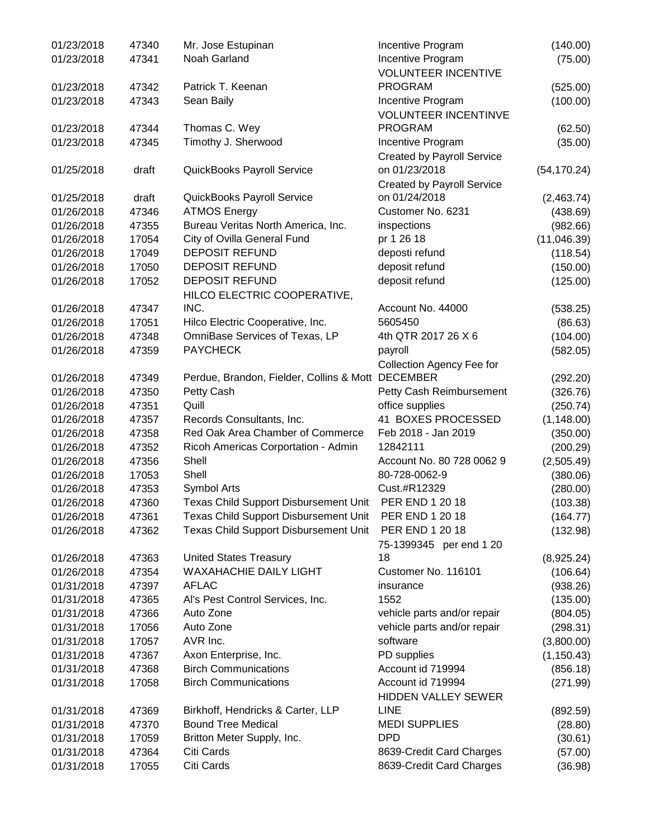| 01/23/2018 | 47340 | Mr. Jose Estupinan                                     | Incentive Program                 | (140.00)     |
|------------|-------|--------------------------------------------------------|-----------------------------------|--------------|
| 01/23/2018 | 47341 | Noah Garland                                           | Incentive Program                 | (75.00)      |
|            |       |                                                        | <b>VOLUNTEER INCENTIVE</b>        |              |
| 01/23/2018 | 47342 | Patrick T. Keenan                                      | <b>PROGRAM</b>                    | (525.00)     |
| 01/23/2018 | 47343 | Sean Baily                                             | Incentive Program                 | (100.00)     |
|            |       |                                                        | <b>VOLUNTEER INCENTINVE</b>       |              |
| 01/23/2018 | 47344 | Thomas C. Wey                                          | <b>PROGRAM</b>                    | (62.50)      |
| 01/23/2018 | 47345 | Timothy J. Sherwood                                    | Incentive Program                 | (35.00)      |
|            |       |                                                        | <b>Created by Payroll Service</b> |              |
| 01/25/2018 | draft | QuickBooks Payroll Service                             | on 01/23/2018                     | (54, 170.24) |
|            |       |                                                        | <b>Created by Payroll Service</b> |              |
| 01/25/2018 | draft | QuickBooks Payroll Service                             | on 01/24/2018                     | (2,463.74)   |
| 01/26/2018 | 47346 | <b>ATMOS Energy</b>                                    | Customer No. 6231                 | (438.69)     |
| 01/26/2018 | 47355 | Bureau Veritas North America, Inc.                     | inspections                       | (982.66)     |
| 01/26/2018 | 17054 | City of Ovilla General Fund                            | pr 1 26 18                        | (11,046.39)  |
| 01/26/2018 | 17049 | <b>DEPOSIT REFUND</b>                                  | deposti refund                    | (118.54)     |
| 01/26/2018 | 17050 | <b>DEPOSIT REFUND</b>                                  | deposit refund                    |              |
| 01/26/2018 | 17052 | <b>DEPOSIT REFUND</b>                                  | deposit refund                    | (150.00)     |
|            |       |                                                        |                                   | (125.00)     |
|            |       | HILCO ELECTRIC COOPERATIVE,                            |                                   |              |
| 01/26/2018 | 47347 | INC.                                                   | Account No. 44000                 | (538.25)     |
| 01/26/2018 | 17051 | Hilco Electric Cooperative, Inc.                       | 5605450                           | (86.63)      |
| 01/26/2018 | 47348 | OmniBase Services of Texas, LP                         | 4th QTR 2017 26 X 6               | (104.00)     |
| 01/26/2018 | 47359 | <b>PAYCHECK</b>                                        | payroll                           | (582.05)     |
|            |       |                                                        | Collection Agency Fee for         |              |
| 01/26/2018 | 47349 | Perdue, Brandon, Fielder, Collins & Mott DECEMBER      |                                   | (292.20)     |
| 01/26/2018 | 47350 | Petty Cash                                             | Petty Cash Reimbursement          | (326.76)     |
| 01/26/2018 | 47351 | Quill                                                  | office supplies                   | (250.74)     |
| 01/26/2018 | 47357 | Records Consultants, Inc.                              | 41 BOXES PROCESSED                | (1, 148.00)  |
| 01/26/2018 | 47358 | Red Oak Area Chamber of Commerce                       | Feb 2018 - Jan 2019               | (350.00)     |
| 01/26/2018 | 47352 | Ricoh Americas Corportation - Admin                    | 12842111                          | (200.29)     |
| 01/26/2018 | 47356 | Shell                                                  | Account No. 80 728 0062 9         | (2,505.49)   |
| 01/26/2018 | 17053 | Shell                                                  | 80-728-0062-9                     | (380.06)     |
| 01/26/2018 | 47353 | Symbol Arts                                            | Cust.#R12329                      | (280.00)     |
| 01/26/2018 | 47360 | Texas Child Support Disbursement Unit  PER END 1 20 18 |                                   | (103.38)     |
| 01/26/2018 | 47361 | Texas Child Support Disbursement Unit                  | PER END 1 20 18                   | (164.77)     |
| 01/26/2018 | 47362 | <b>Texas Child Support Disbursement Unit</b>           | PER END 1 20 18                   | (132.98)     |
|            |       |                                                        | 75-1399345 per end 1 20           |              |
| 01/26/2018 | 47363 | <b>United States Treasury</b>                          | 18                                | (8,925.24)   |
| 01/26/2018 | 47354 | <b>WAXAHACHIE DAILY LIGHT</b>                          | Customer No. 116101               | (106.64)     |
| 01/31/2018 | 47397 | <b>AFLAC</b>                                           | insurance                         | (938.26)     |
| 01/31/2018 | 47365 | Al's Pest Control Services, Inc.                       | 1552                              | (135.00)     |
| 01/31/2018 | 47366 | Auto Zone                                              | vehicle parts and/or repair       | (804.05)     |
| 01/31/2018 | 17056 | Auto Zone                                              | vehicle parts and/or repair       | (298.31)     |
| 01/31/2018 | 17057 | AVR Inc.                                               | software                          | (3,800.00)   |
| 01/31/2018 | 47367 | Axon Enterprise, Inc.                                  | PD supplies                       | (1, 150.43)  |
| 01/31/2018 | 47368 | <b>Birch Communications</b>                            | Account id 719994                 | (856.18)     |
|            | 17058 | <b>Birch Communications</b>                            | Account id 719994                 |              |
| 01/31/2018 |       |                                                        |                                   | (271.99)     |
|            |       |                                                        | <b>HIDDEN VALLEY SEWER</b>        |              |
| 01/31/2018 | 47369 | Birkhoff, Hendricks & Carter, LLP                      | <b>LINE</b>                       | (892.59)     |
| 01/31/2018 | 47370 | <b>Bound Tree Medical</b>                              | <b>MEDI SUPPLIES</b>              | (28.80)      |
| 01/31/2018 | 17059 | Britton Meter Supply, Inc.                             | <b>DPD</b>                        | (30.61)      |
| 01/31/2018 | 47364 | Citi Cards                                             | 8639-Credit Card Charges          | (57.00)      |
| 01/31/2018 | 17055 | Citi Cards                                             | 8639-Credit Card Charges          | (36.98)      |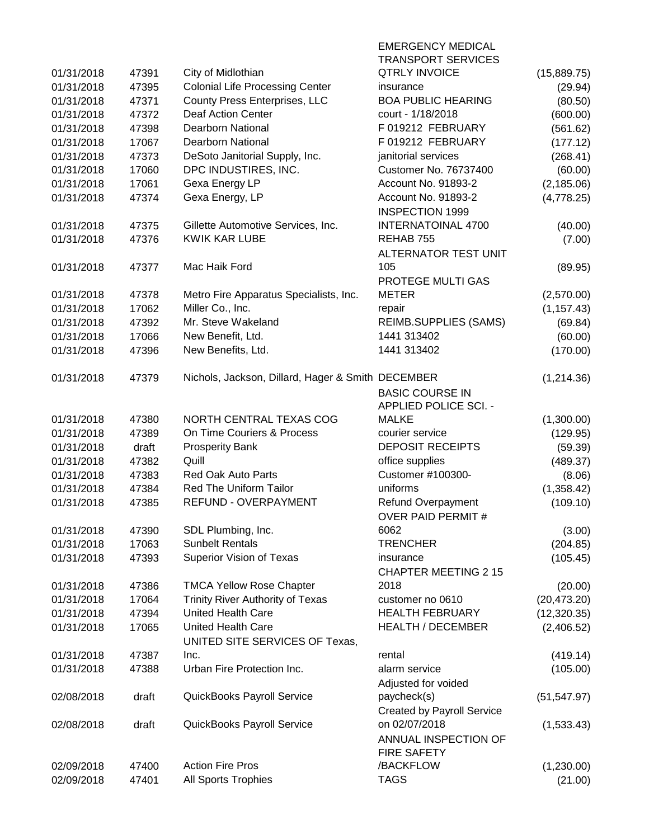|            |       |                                                   | <b>EMERGENCY MEDICAL</b>          |              |
|------------|-------|---------------------------------------------------|-----------------------------------|--------------|
|            |       |                                                   | <b>TRANSPORT SERVICES</b>         |              |
| 01/31/2018 | 47391 | City of Midlothian                                | <b>QTRLY INVOICE</b>              | (15,889.75)  |
| 01/31/2018 | 47395 | <b>Colonial Life Processing Center</b>            | insurance                         | (29.94)      |
| 01/31/2018 | 47371 | <b>County Press Enterprises, LLC</b>              | <b>BOA PUBLIC HEARING</b>         | (80.50)      |
| 01/31/2018 | 47372 | <b>Deaf Action Center</b>                         | court - 1/18/2018                 | (600.00)     |
| 01/31/2018 | 47398 | <b>Dearborn National</b>                          | F 019212 FEBRUARY                 | (561.62)     |
| 01/31/2018 | 17067 | <b>Dearborn National</b>                          | F 019212 FEBRUARY                 | (177.12)     |
| 01/31/2018 | 47373 | DeSoto Janitorial Supply, Inc.                    | janitorial services               | (268.41)     |
| 01/31/2018 | 17060 | DPC INDUSTIRES, INC.                              | <b>Customer No. 76737400</b>      | (60.00)      |
| 01/31/2018 | 17061 | Gexa Energy LP                                    | Account No. 91893-2               | (2, 185.06)  |
| 01/31/2018 | 47374 | Gexa Energy, LP                                   | Account No. 91893-2               | (4,778.25)   |
|            |       |                                                   | <b>INSPECTION 1999</b>            |              |
| 01/31/2018 | 47375 | Gillette Automotive Services, Inc.                | <b>INTERNATOINAL 4700</b>         | (40.00)      |
| 01/31/2018 | 47376 | <b>KWIK KAR LUBE</b>                              | REHAB 755                         | (7.00)       |
|            |       |                                                   | ALTERNATOR TEST UNIT              |              |
| 01/31/2018 | 47377 | Mac Haik Ford                                     | 105                               | (89.95)      |
|            |       |                                                   | PROTEGE MULTI GAS                 |              |
| 01/31/2018 | 47378 | Metro Fire Apparatus Specialists, Inc.            | <b>METER</b>                      | (2,570.00)   |
| 01/31/2018 | 17062 | Miller Co., Inc.                                  | repair                            | (1, 157.43)  |
| 01/31/2018 | 47392 | Mr. Steve Wakeland                                | <b>REIMB.SUPPLIES (SAMS)</b>      | (69.84)      |
| 01/31/2018 | 17066 | New Benefit, Ltd.                                 | 1441 313402                       | (60.00)      |
| 01/31/2018 | 47396 | New Benefits, Ltd.                                | 1441 313402                       | (170.00)     |
|            |       |                                                   |                                   |              |
| 01/31/2018 | 47379 | Nichols, Jackson, Dillard, Hager & Smith DECEMBER |                                   | (1,214.36)   |
|            |       |                                                   | <b>BASIC COURSE IN</b>            |              |
|            |       |                                                   | <b>APPLIED POLICE SCI. -</b>      |              |
| 01/31/2018 | 47380 | NORTH CENTRAL TEXAS COG                           | <b>MALKE</b>                      | (1,300.00)   |
| 01/31/2018 | 47389 | On Time Couriers & Process                        | courier service                   | (129.95)     |
| 01/31/2018 | draft | <b>Prosperity Bank</b>                            | <b>DEPOSIT RECEIPTS</b>           | (59.39)      |
| 01/31/2018 | 47382 | Quill                                             | office supplies                   | (489.37)     |
| 01/31/2018 | 47383 | <b>Red Oak Auto Parts</b>                         | Customer #100300-                 | (8.06)       |
| 01/31/2018 | 47384 | Red The Uniform Tailor                            | uniforms                          | (1,358.42)   |
| 01/31/2018 | 47385 | <b>REFUND - OVERPAYMENT</b>                       | Refund Overpayment                | (109.10)     |
|            |       |                                                   | <b>OVER PAID PERMIT#</b>          |              |
| 01/31/2018 | 47390 | SDL Plumbing, Inc.                                | 6062                              | (3.00)       |
| 01/31/2018 | 17063 | <b>Sunbelt Rentals</b>                            | <b>TRENCHER</b>                   | (204.85)     |
| 01/31/2018 | 47393 | Superior Vision of Texas                          | insurance                         | (105.45)     |
|            |       |                                                   | <b>CHAPTER MEETING 2 15</b>       |              |
| 01/31/2018 | 47386 | <b>TMCA Yellow Rose Chapter</b>                   | 2018                              | (20.00)      |
| 01/31/2018 | 17064 | <b>Trinity River Authority of Texas</b>           | customer no 0610                  | (20, 473.20) |
| 01/31/2018 | 47394 | <b>United Health Care</b>                         | <b>HEALTH FEBRUARY</b>            | (12,320.35)  |
| 01/31/2018 | 17065 | <b>United Health Care</b>                         | <b>HEALTH / DECEMBER</b>          | (2,406.52)   |
|            |       | UNITED SITE SERVICES OF Texas,                    |                                   |              |
| 01/31/2018 | 47387 | Inc.                                              | rental                            | (419.14)     |
| 01/31/2018 | 47388 | Urban Fire Protection Inc.                        | alarm service                     | (105.00)     |
|            |       |                                                   | Adjusted for voided               |              |
| 02/08/2018 | draft | QuickBooks Payroll Service                        | paycheck(s)                       | (51, 547.97) |
|            |       |                                                   | <b>Created by Payroll Service</b> |              |
| 02/08/2018 | draft | QuickBooks Payroll Service                        | on 02/07/2018                     | (1,533.43)   |
|            |       |                                                   | ANNUAL INSPECTION OF              |              |
|            |       |                                                   | <b>FIRE SAFETY</b>                |              |
| 02/09/2018 | 47400 | <b>Action Fire Pros</b>                           | /BACKFLOW                         | (1,230.00)   |
| 02/09/2018 | 47401 | All Sports Trophies                               | <b>TAGS</b>                       | (21.00)      |
|            |       |                                                   |                                   |              |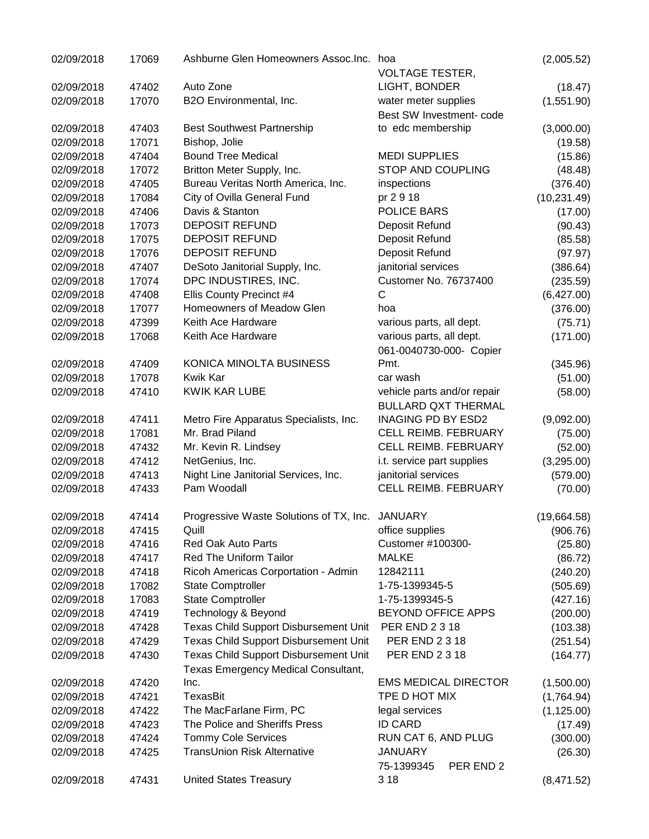| 02/09/2018 | 17069 | Ashburne Glen Homeowners Assoc.Inc.                                          | hoa<br><b>VOLTAGE TESTER,</b>                       | (2,005.52)   |
|------------|-------|------------------------------------------------------------------------------|-----------------------------------------------------|--------------|
| 02/09/2018 | 47402 | Auto Zone                                                                    | LIGHT, BONDER                                       | (18.47)      |
| 02/09/2018 | 17070 | B2O Environmental, Inc.                                                      | water meter supplies                                | (1,551.90)   |
|            |       |                                                                              | Best SW Investment- code                            |              |
| 02/09/2018 | 47403 | <b>Best Southwest Partnership</b>                                            | to edc membership                                   | (3,000.00)   |
| 02/09/2018 | 17071 | Bishop, Jolie                                                                |                                                     | (19.58)      |
| 02/09/2018 | 47404 | <b>Bound Tree Medical</b>                                                    | <b>MEDI SUPPLIES</b>                                | (15.86)      |
| 02/09/2018 | 17072 | Britton Meter Supply, Inc.                                                   | STOP AND COUPLING                                   | (48.48)      |
| 02/09/2018 | 47405 | Bureau Veritas North America, Inc.                                           | inspections                                         | (376.40)     |
| 02/09/2018 | 17084 | City of Ovilla General Fund                                                  | pr 2 9 18                                           | (10, 231.49) |
| 02/09/2018 | 47406 | Davis & Stanton                                                              | POLICE BARS                                         | (17.00)      |
| 02/09/2018 | 17073 | <b>DEPOSIT REFUND</b>                                                        | Deposit Refund                                      | (90.43)      |
| 02/09/2018 | 17075 | DEPOSIT REFUND                                                               | Deposit Refund                                      | (85.58)      |
| 02/09/2018 | 17076 | <b>DEPOSIT REFUND</b>                                                        | Deposit Refund                                      | (97.97)      |
| 02/09/2018 | 47407 | DeSoto Janitorial Supply, Inc.                                               | janitorial services                                 |              |
| 02/09/2018 | 17074 | DPC INDUSTIRES, INC.                                                         | <b>Customer No. 76737400</b>                        | (386.64)     |
|            | 47408 |                                                                              | $\mathsf{C}$                                        | (235.59)     |
| 02/09/2018 |       | Ellis County Precinct #4<br>Homeowners of Meadow Glen                        | hoa                                                 | (6,427.00)   |
| 02/09/2018 | 17077 | Keith Ace Hardware                                                           |                                                     | (376.00)     |
| 02/09/2018 | 47399 |                                                                              | various parts, all dept.                            | (75.71)      |
| 02/09/2018 | 17068 | Keith Ace Hardware                                                           | various parts, all dept.<br>061-0040730-000- Copier | (171.00)     |
| 02/09/2018 | 47409 | KONICA MINOLTA BUSINESS                                                      | Pmt.                                                | (345.96)     |
| 02/09/2018 | 17078 | Kwik Kar                                                                     | car wash                                            | (51.00)      |
| 02/09/2018 | 47410 | <b>KWIK KAR LUBE</b>                                                         | vehicle parts and/or repair                         | (58.00)      |
|            |       |                                                                              | <b>BULLARD QXT THERMAL</b>                          |              |
| 02/09/2018 | 47411 | Metro Fire Apparatus Specialists, Inc.                                       | <b>INAGING PD BY ESD2</b>                           | (9,092.00)   |
| 02/09/2018 | 17081 | Mr. Brad Piland                                                              | CELL REIMB. FEBRUARY                                | (75.00)      |
| 02/09/2018 | 47432 | Mr. Kevin R. Lindsey                                                         | CELL REIMB. FEBRUARY                                | (52.00)      |
| 02/09/2018 | 47412 | NetGenius, Inc.                                                              | i.t. service part supplies                          | (3,295.00)   |
| 02/09/2018 | 47413 | Night Line Janitorial Services, Inc.                                         | janitorial services                                 | (579.00)     |
| 02/09/2018 | 47433 | Pam Woodall                                                                  | CELL REIMB. FEBRUARY                                | (70.00)      |
| 02/09/2018 | 47414 | Progressive Waste Solutions of TX, Inc. JANUARY                              |                                                     | (19,664.58)  |
| 02/09/2018 | 47415 | Quill                                                                        | office supplies                                     | (906.76)     |
| 02/09/2018 | 47416 | <b>Red Oak Auto Parts</b>                                                    | Customer #100300-                                   | (25.80)      |
| 02/09/2018 | 47417 | <b>Red The Uniform Tailor</b>                                                | <b>MALKE</b>                                        | (86.72)      |
| 02/09/2018 | 47418 | Ricoh Americas Corportation - Admin                                          | 12842111                                            | (240.20)     |
| 02/09/2018 | 17082 | <b>State Comptroller</b>                                                     | 1-75-1399345-5                                      | (505.69)     |
| 02/09/2018 | 17083 | <b>State Comptroller</b>                                                     | 1-75-1399345-5                                      | (427.16)     |
| 02/09/2018 | 47419 | Technology & Beyond                                                          | <b>BEYOND OFFICE APPS</b>                           | (200.00)     |
| 02/09/2018 | 47428 | <b>Texas Child Support Disbursement Unit</b>                                 | PER END 2 3 18                                      | (103.38)     |
| 02/09/2018 | 47429 | Texas Child Support Disbursement Unit                                        | PER END 2 3 18                                      | (251.54)     |
| 02/09/2018 | 47430 | Texas Child Support Disbursement Unit<br>Texas Emergency Medical Consultant, | <b>PER END 2 3 18</b>                               | (164.77)     |
| 02/09/2018 | 47420 | Inc.                                                                         | <b>EMS MEDICAL DIRECTOR</b>                         | (1,500.00)   |
| 02/09/2018 | 47421 | TexasBit                                                                     | TPE D HOT MIX                                       | (1,764.94)   |
| 02/09/2018 | 47422 | The MacFarlane Firm, PC                                                      | legal services                                      | (1, 125.00)  |
| 02/09/2018 | 47423 | The Police and Sheriffs Press                                                | <b>ID CARD</b>                                      | (17.49)      |
| 02/09/2018 | 47424 | <b>Tommy Cole Services</b>                                                   | RUN CAT 6, AND PLUG                                 | (300.00)     |
| 02/09/2018 | 47425 | <b>TransUnion Risk Alternative</b>                                           | <b>JANUARY</b>                                      | (26.30)      |
|            |       |                                                                              | 75-1399345<br>PER END 2                             |              |
| 02/09/2018 | 47431 | <b>United States Treasury</b>                                                | 3 1 8                                               | (8,471.52)   |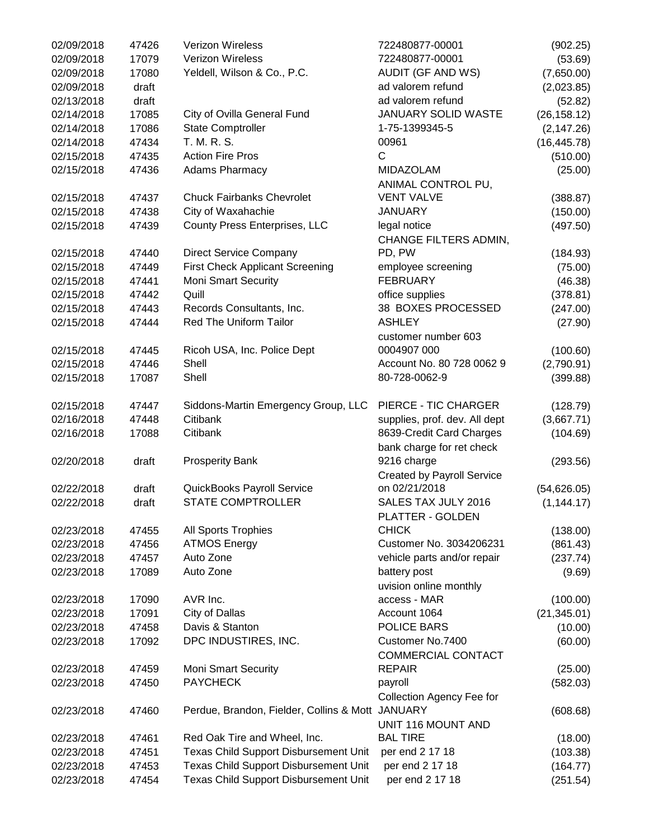| 02/09/2018 | 47426 | <b>Verizon Wireless</b>                          | 722480877-00001                   | (902.25)     |
|------------|-------|--------------------------------------------------|-----------------------------------|--------------|
| 02/09/2018 | 17079 | Verizon Wireless                                 | 722480877-00001                   | (53.69)      |
| 02/09/2018 | 17080 | Yeldell, Wilson & Co., P.C.                      | <b>AUDIT (GF AND WS)</b>          | (7,650.00)   |
| 02/09/2018 | draft |                                                  | ad valorem refund                 | (2,023.85)   |
| 02/13/2018 | draft |                                                  | ad valorem refund                 | (52.82)      |
| 02/14/2018 | 17085 | City of Ovilla General Fund                      | JANUARY SOLID WASTE               | (26, 158.12) |
| 02/14/2018 | 17086 | <b>State Comptroller</b>                         | 1-75-1399345-5                    | (2, 147.26)  |
| 02/14/2018 | 47434 | T. M. R. S.                                      | 00961                             | (16, 445.78) |
| 02/15/2018 | 47435 | <b>Action Fire Pros</b>                          | C                                 | (510.00)     |
| 02/15/2018 | 47436 | <b>Adams Pharmacy</b>                            | <b>MIDAZOLAM</b>                  | (25.00)      |
|            |       |                                                  | ANIMAL CONTROL PU,                |              |
| 02/15/2018 | 47437 | <b>Chuck Fairbanks Chevrolet</b>                 | <b>VENT VALVE</b>                 | (388.87)     |
| 02/15/2018 | 47438 | City of Waxahachie                               | <b>JANUARY</b>                    | (150.00)     |
| 02/15/2018 | 47439 | County Press Enterprises, LLC                    | legal notice                      | (497.50)     |
|            |       |                                                  | CHANGE FILTERS ADMIN,             |              |
| 02/15/2018 | 47440 | <b>Direct Service Company</b>                    | PD, PW                            |              |
| 02/15/2018 | 47449 | <b>First Check Applicant Screening</b>           | employee screening                | (184.93)     |
|            |       | <b>Moni Smart Security</b>                       | <b>FEBRUARY</b>                   | (75.00)      |
| 02/15/2018 | 47441 |                                                  |                                   | (46.38)      |
| 02/15/2018 | 47442 | Quill                                            | office supplies                   | (378.81)     |
| 02/15/2018 | 47443 | Records Consultants, Inc.                        | 38 BOXES PROCESSED                | (247.00)     |
| 02/15/2018 | 47444 | <b>Red The Uniform Tailor</b>                    | <b>ASHLEY</b>                     | (27.90)      |
|            |       |                                                  | customer number 603               |              |
| 02/15/2018 | 47445 | Ricoh USA, Inc. Police Dept                      | 0004907 000                       | (100.60)     |
| 02/15/2018 | 47446 | Shell                                            | Account No. 80 728 0062 9         | (2,790.91)   |
| 02/15/2018 | 17087 | Shell                                            | 80-728-0062-9                     | (399.88)     |
| 02/15/2018 | 47447 | Siddons-Martin Emergency Group, LLC              | PIERCE - TIC CHARGER              | (128.79)     |
| 02/16/2018 | 47448 | Citibank                                         | supplies, prof. dev. All dept     | (3,667.71)   |
| 02/16/2018 | 17088 | Citibank                                         | 8639-Credit Card Charges          | (104.69)     |
|            |       |                                                  | bank charge for ret check         |              |
| 02/20/2018 | draft | <b>Prosperity Bank</b>                           | 9216 charge                       | (293.56)     |
|            |       |                                                  | <b>Created by Payroll Service</b> |              |
| 02/22/2018 | draft | QuickBooks Payroll Service                       | on 02/21/2018                     | (54, 626.05) |
| 02/22/2018 | draft | <b>STATE COMPTROLLER</b>                         | SALES TAX JULY 2016               | (1, 144.17)  |
|            |       |                                                  | PLATTER - GOLDEN                  |              |
| 02/23/2018 | 47455 | All Sports Trophies                              | <b>CHICK</b>                      | (138.00)     |
| 02/23/2018 | 47456 | <b>ATMOS Energy</b>                              | Customer No. 3034206231           | (861.43)     |
| 02/23/2018 | 47457 | Auto Zone                                        | vehicle parts and/or repair       | (237.74)     |
| 02/23/2018 | 17089 | Auto Zone                                        | battery post                      | (9.69)       |
|            |       |                                                  | uvision online monthly            |              |
| 02/23/2018 | 17090 | AVR Inc.                                         | access - MAR                      | (100.00)     |
| 02/23/2018 | 17091 | City of Dallas                                   | Account 1064                      | (21, 345.01) |
| 02/23/2018 | 47458 | Davis & Stanton                                  | <b>POLICE BARS</b>                | (10.00)      |
| 02/23/2018 | 17092 | DPC INDUSTIRES, INC.                             | Customer No.7400                  | (60.00)      |
|            |       |                                                  | COMMERCIAL CONTACT                |              |
| 02/23/2018 | 47459 | <b>Moni Smart Security</b>                       | <b>REPAIR</b>                     | (25.00)      |
| 02/23/2018 | 47450 | <b>PAYCHECK</b>                                  | payroll                           | (582.03)     |
|            |       |                                                  | Collection Agency Fee for         |              |
| 02/23/2018 | 47460 | Perdue, Brandon, Fielder, Collins & Mott JANUARY |                                   | (608.68)     |
|            |       |                                                  | UNIT 116 MOUNT AND                |              |
| 02/23/2018 | 47461 | Red Oak Tire and Wheel, Inc.                     | <b>BAL TIRE</b>                   | (18.00)      |
| 02/23/2018 | 47451 | Texas Child Support Disbursement Unit            | per end 2 17 18                   | (103.38)     |
| 02/23/2018 | 47453 | Texas Child Support Disbursement Unit            | per end 2 17 18                   | (164.77)     |
| 02/23/2018 | 47454 | Texas Child Support Disbursement Unit            | per end 2 17 18                   | (251.54)     |
|            |       |                                                  |                                   |              |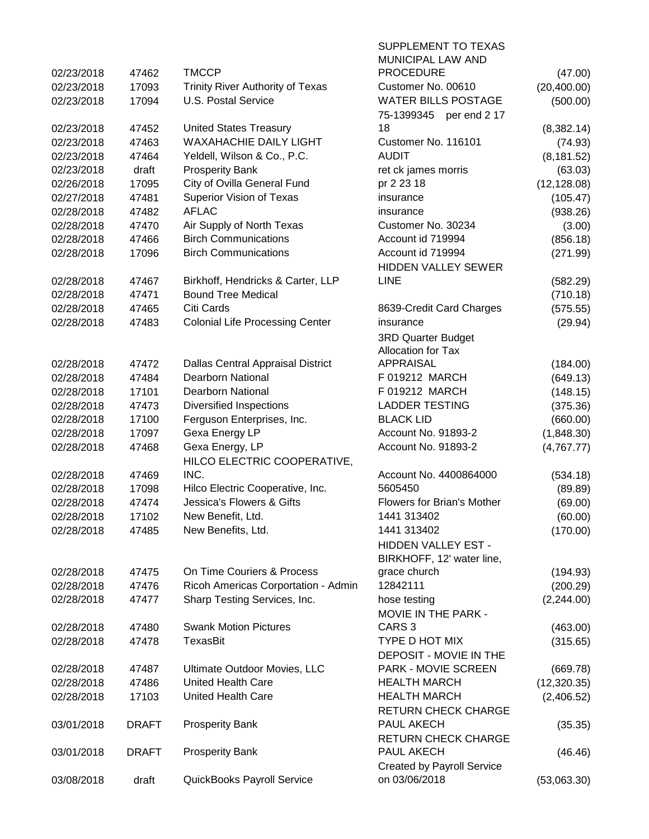| 03/08/2018               | draft          | QuickBooks Payroll Service                                     | on 03/06/2018                            | (53,063.30)            |
|--------------------------|----------------|----------------------------------------------------------------|------------------------------------------|------------------------|
|                          |                |                                                                | <b>Created by Payroll Service</b>        |                        |
| 03/01/2018               | <b>DRAFT</b>   | <b>Prosperity Bank</b>                                         | PAUL AKECH                               | (46.46)                |
|                          |                |                                                                | <b>RETURN CHECK CHARGE</b>               |                        |
| 03/01/2018               | <b>DRAFT</b>   | <b>Prosperity Bank</b>                                         | <b>RETURN CHECK CHARGE</b><br>PAUL AKECH | (35.35)                |
| 02/28/2018               | 17103          | United Health Care                                             | <b>HEALTH MARCH</b>                      | (2,406.52)             |
| 02/28/2018               | 47486          | <b>United Health Care</b>                                      | <b>HEALTH MARCH</b>                      | (12,320.35)            |
| 02/28/2018               | 47487          | Ultimate Outdoor Movies, LLC                                   | <b>PARK - MOVIE SCREEN</b>               | (669.78)               |
|                          |                |                                                                | DEPOSIT - MOVIE IN THE                   |                        |
| 02/28/2018               | 47478          | TexasBit                                                       | TYPE D HOT MIX                           | (315.65)               |
| 02/28/2018               | 47480          | <b>Swank Motion Pictures</b>                                   | CARS <sub>3</sub>                        | (463.00)               |
|                          |                |                                                                | MOVIE IN THE PARK -                      |                        |
| 02/28/2018               | 47477          | Sharp Testing Services, Inc.                                   | hose testing                             | (2,244.00)             |
| 02/28/2018               | 47476          | Ricoh Americas Corportation - Admin                            | 12842111                                 | (200.29)               |
| 02/28/2018               | 47475          | On Time Couriers & Process                                     | grace church                             | (194.93)               |
|                          |                |                                                                | BIRKHOFF, 12' water line,                |                        |
|                          |                |                                                                | HIDDEN VALLEY EST -                      |                        |
| 02/28/2018               | 47485          | New Benefits, Ltd.                                             | 1441 313402                              | (170.00)               |
| 02/28/2018               | 17102          | New Benefit, Ltd.                                              | 1441 313402                              | (60.00)                |
| 02/28/2018               | 47474          | Jessica's Flowers & Gifts                                      | <b>Flowers for Brian's Mother</b>        | (69.00)                |
| 02/28/2018               | 17098          | Hilco Electric Cooperative, Inc.                               | 5605450                                  | (89.89)                |
| 02/28/2018               | 47469          | INC.                                                           | Account No. 4400864000                   | (534.18)               |
|                          |                | HILCO ELECTRIC COOPERATIVE,                                    |                                          |                        |
| 02/28/2018               | 47468          | Gexa Energy, LP                                                | Account No. 91893-2                      | (4,767.77)             |
| 02/28/2018               | 17097          | Gexa Energy LP                                                 | Account No. 91893-2                      | (1,848.30)             |
| 02/28/2018               | 17100          | Ferguson Enterprises, Inc.                                     | <b>BLACK LID</b>                         | (660.00)               |
| 02/28/2018               | 47473          | <b>Diversified Inspections</b>                                 | <b>LADDER TESTING</b>                    | (375.36)               |
| 02/28/2018               | 17101          | <b>Dearborn National</b>                                       | F 019212 MARCH                           | (148.15)               |
| 02/28/2018               | 47484          | <b>Dearborn National</b>                                       | F 019212 MARCH                           | (649.13)               |
| 02/28/2018               | 47472          | <b>Dallas Central Appraisal District</b>                       | <b>APPRAISAL</b>                         | (184.00)               |
|                          |                |                                                                | Allocation for Tax                       |                        |
|                          |                |                                                                | <b>3RD Quarter Budget</b>                |                        |
| 02/28/2018               | 47483          | <b>Colonial Life Processing Center</b>                         | insurance                                | (29.94)                |
| 02/28/2018               | 47465          | Citi Cards                                                     | 8639-Credit Card Charges                 | (575.55)               |
| 02/28/2018               | 47471          | <b>Bound Tree Medical</b>                                      |                                          | (710.18)               |
| 02/28/2018               | 47467          | Birkhoff, Hendricks & Carter, LLP                              | <b>LINE</b>                              | (582.29)               |
|                          |                |                                                                | <b>HIDDEN VALLEY SEWER</b>               |                        |
| 02/28/2018               | 17096          | <b>Birch Communications</b>                                    | Account id 719994                        | (271.99)               |
| 02/28/2018               | 47466          | <b>Birch Communications</b>                                    | Account id 719994                        | (856.18)               |
| 02/28/2018               | 47470          | Air Supply of North Texas                                      | Customer No. 30234                       | (3.00)                 |
| 02/28/2018               | 47482          | <b>AFLAC</b>                                                   | insurance                                | (938.26)               |
| 02/27/2018               | 47481          | Superior Vision of Texas                                       | insurance                                | (105.47)               |
| 02/26/2018               | 17095          | City of Ovilla General Fund                                    | pr 2 23 18                               | (12, 128.08)           |
| 02/23/2018               | draft          | <b>Prosperity Bank</b>                                         | ret ck james morris                      | (63.03)                |
|                          |                |                                                                |                                          |                        |
| 02/23/2018<br>02/23/2018 | 47463<br>47464 | Yeldell, Wilson & Co., P.C.                                    | <b>AUDIT</b>                             | (74.93)<br>(8, 181.52) |
| 02/23/2018               | 47452          | <b>United States Treasury</b><br><b>WAXAHACHIE DAILY LIGHT</b> | Customer No. 116101                      | (8,382.14)             |
|                          |                |                                                                | 75-1399345 per end 2 17<br>18            |                        |
| 02/23/2018               | 17094          |                                                                | <b>WATER BILLS POSTAGE</b>               | (500.00)               |
| 02/23/2018               | 17093          | Trinity River Authority of Texas<br><b>U.S. Postal Service</b> | Customer No. 00610                       | (20, 400.00)           |
| 02/23/2018               | 47462          | <b>TMCCP</b>                                                   | <b>PROCEDURE</b>                         | (47.00)                |
|                          |                |                                                                | MUNICIPAL LAW AND                        |                        |
|                          |                |                                                                | SUPPLEMENT TO TEXAS                      |                        |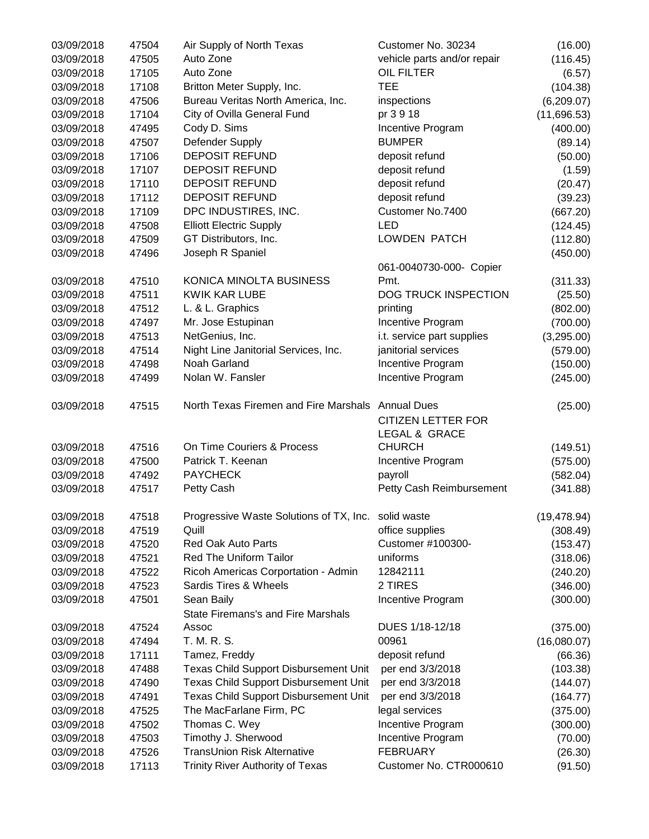| 03/09/2018 | 47504 | Air Supply of North Texas                           | Customer No. 30234              | (16.00)      |
|------------|-------|-----------------------------------------------------|---------------------------------|--------------|
| 03/09/2018 | 47505 | Auto Zone                                           | vehicle parts and/or repair     | (116.45)     |
| 03/09/2018 | 17105 | Auto Zone                                           | <b>OIL FILTER</b>               | (6.57)       |
| 03/09/2018 | 17108 | Britton Meter Supply, Inc.                          | <b>TEE</b>                      | (104.38)     |
| 03/09/2018 | 47506 | Bureau Veritas North America, Inc.                  | inspections                     | (6,209.07)   |
| 03/09/2018 | 17104 | City of Ovilla General Fund                         | pr 3 9 18                       | (11,696.53)  |
| 03/09/2018 | 47495 | Cody D. Sims                                        | Incentive Program               | (400.00)     |
| 03/09/2018 | 47507 | Defender Supply                                     | <b>BUMPER</b>                   | (89.14)      |
| 03/09/2018 | 17106 | <b>DEPOSIT REFUND</b>                               | deposit refund                  | (50.00)      |
| 03/09/2018 | 17107 | <b>DEPOSIT REFUND</b>                               | deposit refund                  | (1.59)       |
| 03/09/2018 | 17110 | <b>DEPOSIT REFUND</b>                               | deposit refund                  | (20.47)      |
| 03/09/2018 | 17112 | <b>DEPOSIT REFUND</b>                               | deposit refund                  | (39.23)      |
| 03/09/2018 | 17109 | DPC INDUSTIRES, INC.                                | Customer No.7400                | (667.20)     |
| 03/09/2018 | 47508 | <b>Elliott Electric Supply</b>                      | <b>LED</b>                      | (124.45)     |
| 03/09/2018 | 47509 | GT Distributors, Inc.                               | <b>LOWDEN PATCH</b>             | (112.80)     |
| 03/09/2018 | 47496 | Joseph R Spaniel                                    |                                 | (450.00)     |
|            |       |                                                     |                                 |              |
|            |       |                                                     | 061-0040730-000- Copier<br>Pmt. |              |
| 03/09/2018 | 47510 | KONICA MINOLTA BUSINESS                             |                                 | (311.33)     |
| 03/09/2018 | 47511 | <b>KWIK KAR LUBE</b>                                | DOG TRUCK INSPECTION            | (25.50)      |
| 03/09/2018 | 47512 | L. & L. Graphics                                    | printing                        | (802.00)     |
| 03/09/2018 | 47497 | Mr. Jose Estupinan                                  | Incentive Program               | (700.00)     |
| 03/09/2018 | 47513 | NetGenius, Inc.                                     | i.t. service part supplies      | (3,295.00)   |
| 03/09/2018 | 47514 | Night Line Janitorial Services, Inc.                | janitorial services             | (579.00)     |
| 03/09/2018 | 47498 | Noah Garland                                        | Incentive Program               | (150.00)     |
| 03/09/2018 | 47499 | Nolan W. Fansler                                    | Incentive Program               | (245.00)     |
| 03/09/2018 | 47515 | North Texas Firemen and Fire Marshals Annual Dues   |                                 | (25.00)      |
|            |       |                                                     | <b>CITIZEN LETTER FOR</b>       |              |
|            |       |                                                     | LEGAL & GRACE                   |              |
| 03/09/2018 | 47516 | On Time Couriers & Process                          | <b>CHURCH</b>                   | (149.51)     |
| 03/09/2018 | 47500 | Patrick T. Keenan                                   | Incentive Program               | (575.00)     |
| 03/09/2018 | 47492 | <b>PAYCHECK</b>                                     | payroll                         | (582.04)     |
| 03/09/2018 | 47517 | Petty Cash                                          | Petty Cash Reimbursement        | (341.88)     |
| 03/09/2018 | 47518 | Progressive Waste Solutions of TX, Inc. solid waste |                                 | (19, 478.94) |
| 03/09/2018 | 47519 | Quill                                               | office supplies                 | (308.49)     |
| 03/09/2018 | 47520 | <b>Red Oak Auto Parts</b>                           | Customer #100300-               | (153.47)     |
| 03/09/2018 | 47521 | <b>Red The Uniform Tailor</b>                       | uniforms                        | (318.06)     |
| 03/09/2018 | 47522 | Ricoh Americas Corportation - Admin                 | 12842111                        | (240.20)     |
| 03/09/2018 | 47523 | Sardis Tires & Wheels                               | 2 TIRES                         | (346.00)     |
| 03/09/2018 | 47501 | Sean Baily                                          | Incentive Program               | (300.00)     |
|            |       | <b>State Firemans's and Fire Marshals</b>           |                                 |              |
| 03/09/2018 | 47524 | Assoc                                               | DUES 1/18-12/18                 | (375.00)     |
| 03/09/2018 | 47494 | T. M. R. S.                                         | 00961                           | (16,080.07)  |
| 03/09/2018 | 17111 | Tamez, Freddy                                       | deposit refund                  | (66.36)      |
| 03/09/2018 | 47488 | Texas Child Support Disbursement Unit               | per end 3/3/2018                | (103.38)     |
| 03/09/2018 | 47490 | Texas Child Support Disbursement Unit               | per end 3/3/2018                | (144.07)     |
| 03/09/2018 | 47491 | <b>Texas Child Support Disbursement Unit</b>        | per end 3/3/2018                | (164.77)     |
| 03/09/2018 | 47525 | The MacFarlane Firm, PC                             | legal services                  | (375.00)     |
| 03/09/2018 | 47502 | Thomas C. Wey                                       | Incentive Program               | (300.00)     |
| 03/09/2018 | 47503 | Timothy J. Sherwood                                 | Incentive Program               | (70.00)      |
| 03/09/2018 | 47526 | TransUnion Risk Alternative                         | <b>FEBRUARY</b>                 | (26.30)      |
| 03/09/2018 | 17113 | <b>Trinity River Authority of Texas</b>             | Customer No. CTR000610          | (91.50)      |
|            |       |                                                     |                                 |              |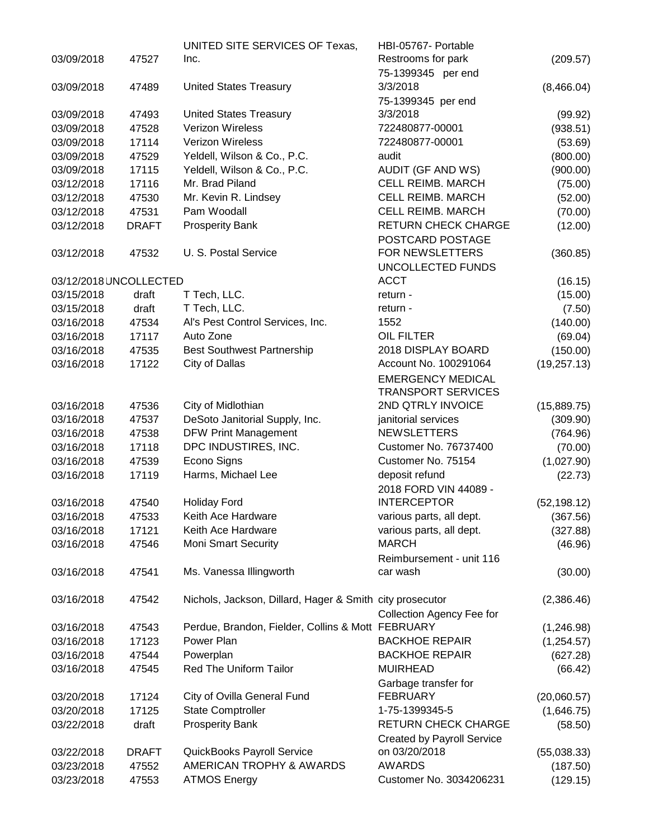|                        |              | UNITED SITE SERVICES OF Texas,                           | HBI-05767- Portable                                   |              |
|------------------------|--------------|----------------------------------------------------------|-------------------------------------------------------|--------------|
| 03/09/2018             | 47527        | Inc.                                                     | Restrooms for park                                    | (209.57)     |
|                        |              |                                                          | 75-1399345 per end                                    |              |
| 03/09/2018             | 47489        | <b>United States Treasury</b>                            | 3/3/2018                                              | (8,466.04)   |
|                        |              |                                                          | 75-1399345 per end                                    |              |
| 03/09/2018             | 47493        | <b>United States Treasury</b>                            | 3/3/2018                                              | (99.92)      |
| 03/09/2018             | 47528        | Verizon Wireless                                         | 722480877-00001                                       | (938.51)     |
| 03/09/2018             | 17114        | Verizon Wireless                                         | 722480877-00001                                       | (53.69)      |
| 03/09/2018             | 47529        | Yeldell, Wilson & Co., P.C.                              | audit                                                 | (800.00)     |
| 03/09/2018             | 17115        | Yeldell, Wilson & Co., P.C.                              | <b>AUDIT (GF AND WS)</b>                              | (900.00)     |
| 03/12/2018             | 17116        | Mr. Brad Piland                                          | CELL REIMB. MARCH                                     | (75.00)      |
| 03/12/2018             | 47530        | Mr. Kevin R. Lindsey                                     | <b>CELL REIMB. MARCH</b>                              | (52.00)      |
| 03/12/2018             | 47531        | Pam Woodall                                              | <b>CELL REIMB. MARCH</b>                              | (70.00)      |
| 03/12/2018             | <b>DRAFT</b> | <b>Prosperity Bank</b>                                   | <b>RETURN CHECK CHARGE</b>                            | (12.00)      |
|                        |              |                                                          | POSTCARD POSTAGE                                      |              |
| 03/12/2018             | 47532        | U. S. Postal Service                                     | FOR NEWSLETTERS                                       | (360.85)     |
|                        |              |                                                          | UNCOLLECTED FUNDS                                     |              |
|                        |              |                                                          | <b>ACCT</b>                                           |              |
| 03/12/2018 UNCOLLECTED |              |                                                          |                                                       | (16.15)      |
| 03/15/2018             | draft        | T Tech, LLC.                                             | return -                                              | (15.00)      |
| 03/15/2018             | draft        | T Tech, LLC.                                             | return -                                              | (7.50)       |
| 03/16/2018             | 47534        | Al's Pest Control Services, Inc.                         | 1552                                                  | (140.00)     |
| 03/16/2018             | 17117        | Auto Zone                                                | <b>OIL FILTER</b>                                     | (69.04)      |
| 03/16/2018             | 47535        | <b>Best Southwest Partnership</b>                        | 2018 DISPLAY BOARD                                    | (150.00)     |
| 03/16/2018             | 17122        | City of Dallas                                           | Account No. 100291064                                 | (19, 257.13) |
|                        |              |                                                          | <b>EMERGENCY MEDICAL</b><br><b>TRANSPORT SERVICES</b> |              |
| 03/16/2018             | 47536        | City of Midlothian                                       | 2ND QTRLY INVOICE                                     | (15,889.75)  |
| 03/16/2018             | 47537        | DeSoto Janitorial Supply, Inc.                           | janitorial services                                   | (309.90)     |
| 03/16/2018             | 47538        | <b>DFW Print Management</b>                              | <b>NEWSLETTERS</b>                                    | (764.96)     |
| 03/16/2018             | 17118        | DPC INDUSTIRES, INC.                                     | <b>Customer No. 76737400</b>                          | (70.00)      |
| 03/16/2018             | 47539        | Econo Signs                                              | Customer No. 75154                                    | (1,027.90)   |
| 03/16/2018             | 17119        | Harms, Michael Lee                                       | deposit refund                                        | (22.73)      |
|                        |              |                                                          | 2018 FORD VIN 44089 -                                 |              |
| 03/16/2018             | 47540        | <b>Holiday Ford</b>                                      | <b>INTERCEPTOR</b>                                    | (52, 198.12) |
| 03/16/2018             | 47533        | Keith Ace Hardware                                       | various parts, all dept.                              | (367.56)     |
| 03/16/2018             | 17121        | Keith Ace Hardware                                       | various parts, all dept.                              | (327.88)     |
| 03/16/2018             | 47546        | <b>Moni Smart Security</b>                               | <b>MARCH</b>                                          | (46.96)      |
|                        |              |                                                          | Reimbursement - unit 116                              |              |
| 03/16/2018             | 47541        | Ms. Vanessa Illingworth                                  | car wash                                              | (30.00)      |
|                        |              |                                                          |                                                       |              |
| 03/16/2018             | 47542        | Nichols, Jackson, Dillard, Hager & Smith city prosecutor |                                                       | (2,386.46)   |
|                        |              |                                                          | <b>Collection Agency Fee for</b>                      |              |
| 03/16/2018             | 47543        | Perdue, Brandon, Fielder, Collins & Mott FEBRUARY        |                                                       |              |
| 03/16/2018             | 17123        | Power Plan                                               | <b>BACKHOE REPAIR</b>                                 | (1,246.98)   |
|                        |              |                                                          |                                                       | (1,254.57)   |
| 03/16/2018             | 47544        | Powerplan                                                | <b>BACKHOE REPAIR</b>                                 | (627.28)     |
| 03/16/2018             | 47545        | Red The Uniform Tailor                                   | <b>MUIRHEAD</b>                                       | (66.42)      |
|                        |              |                                                          | Garbage transfer for                                  |              |
| 03/20/2018             | 17124        | City of Ovilla General Fund                              | <b>FEBRUARY</b>                                       | (20,060.57)  |
| 03/20/2018             | 17125        | <b>State Comptroller</b>                                 | 1-75-1399345-5                                        | (1,646.75)   |
| 03/22/2018             | draft        | <b>Prosperity Bank</b>                                   | <b>RETURN CHECK CHARGE</b>                            | (58.50)      |
|                        |              |                                                          | <b>Created by Payroll Service</b>                     |              |
| 03/22/2018             | <b>DRAFT</b> | QuickBooks Payroll Service                               | on 03/20/2018                                         | (55,038.33)  |
| 03/23/2018             | 47552        | AMERICAN TROPHY & AWARDS                                 | <b>AWARDS</b>                                         | (187.50)     |
| 03/23/2018             | 47553        | <b>ATMOS Energy</b>                                      | Customer No. 3034206231                               | (129.15)     |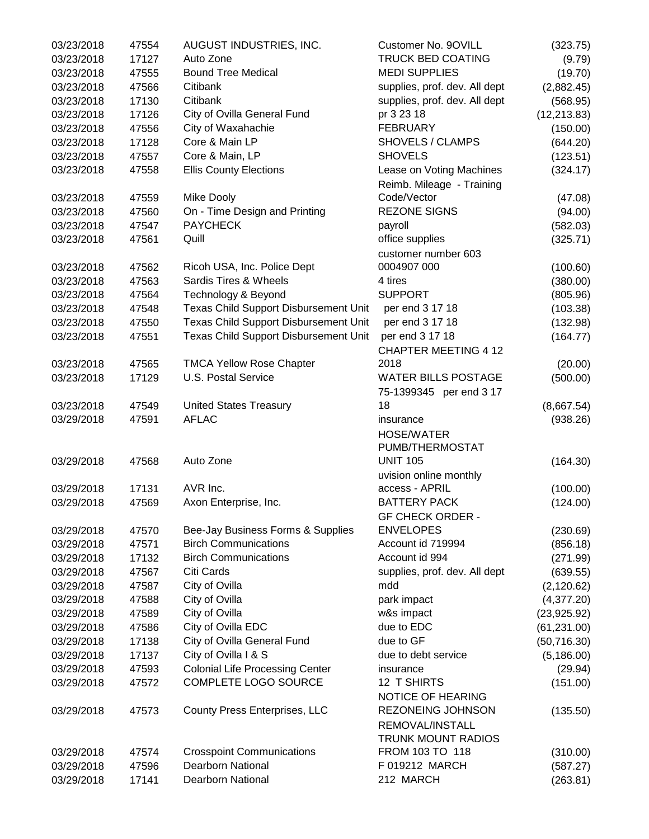| 03/23/2018 | 47554 | AUGUST INDUSTRIES, INC.                      | Customer No. 9OVILL                      | (323.75)     |
|------------|-------|----------------------------------------------|------------------------------------------|--------------|
| 03/23/2018 | 17127 | Auto Zone                                    | <b>TRUCK BED COATING</b>                 | (9.79)       |
| 03/23/2018 | 47555 | <b>Bound Tree Medical</b>                    | <b>MEDI SUPPLIES</b>                     | (19.70)      |
| 03/23/2018 | 47566 | Citibank                                     | supplies, prof. dev. All dept            | (2,882.45)   |
| 03/23/2018 | 17130 | Citibank                                     | supplies, prof. dev. All dept            | (568.95)     |
| 03/23/2018 | 17126 | City of Ovilla General Fund                  | pr 3 23 18                               | (12, 213.83) |
| 03/23/2018 | 47556 | City of Waxahachie                           | <b>FEBRUARY</b>                          | (150.00)     |
| 03/23/2018 | 17128 | Core & Main LP                               | SHOVELS / CLAMPS                         | (644.20)     |
| 03/23/2018 | 47557 | Core & Main, LP                              | <b>SHOVELS</b>                           | (123.51)     |
| 03/23/2018 | 47558 | <b>Ellis County Elections</b>                | Lease on Voting Machines                 | (324.17)     |
|            |       |                                              | Reimb. Mileage - Training                |              |
| 03/23/2018 | 47559 | Mike Dooly                                   | Code/Vector                              | (47.08)      |
| 03/23/2018 | 47560 | On - Time Design and Printing                | <b>REZONE SIGNS</b>                      | (94.00)      |
| 03/23/2018 | 47547 | <b>PAYCHECK</b>                              | payroll                                  | (582.03)     |
| 03/23/2018 | 47561 | Quill                                        | office supplies                          | (325.71)     |
|            |       |                                              | customer number 603                      |              |
| 03/23/2018 | 47562 | Ricoh USA, Inc. Police Dept                  | 0004907 000                              | (100.60)     |
| 03/23/2018 | 47563 | Sardis Tires & Wheels                        | 4 tires                                  | (380.00)     |
| 03/23/2018 | 47564 | Technology & Beyond                          | <b>SUPPORT</b>                           | (805.96)     |
| 03/23/2018 | 47548 | <b>Texas Child Support Disbursement Unit</b> | per end 3 17 18                          | (103.38)     |
| 03/23/2018 | 47550 | Texas Child Support Disbursement Unit        | per end 3 17 18                          | (132.98)     |
| 03/23/2018 | 47551 | Texas Child Support Disbursement Unit        | per end 3 17 18                          | (164.77)     |
|            |       |                                              | <b>CHAPTER MEETING 4 12</b>              |              |
| 03/23/2018 | 47565 | <b>TMCA Yellow Rose Chapter</b>              | 2018                                     | (20.00)      |
| 03/23/2018 | 17129 | U.S. Postal Service                          | <b>WATER BILLS POSTAGE</b>               | (500.00)     |
|            |       |                                              | 75-1399345 per end 3 17                  |              |
| 03/23/2018 | 47549 | <b>United States Treasury</b>                | 18                                       | (8,667.54)   |
| 03/29/2018 | 47591 | <b>AFLAC</b>                                 | insurance                                | (938.26)     |
|            |       |                                              | <b>HOSE/WATER</b>                        |              |
|            |       |                                              | PUMB/THERMOSTAT                          |              |
| 03/29/2018 | 47568 | Auto Zone                                    | <b>UNIT 105</b>                          | (164.30)     |
|            |       |                                              |                                          |              |
|            | 17131 | AVR Inc.                                     | uvision online monthly<br>access - APRIL |              |
| 03/29/2018 |       |                                              | <b>BATTERY PACK</b>                      | (100.00)     |
| 03/29/2018 | 47569 | Axon Enterprise, Inc.                        |                                          | (124.00)     |
|            |       |                                              | <b>GF CHECK ORDER -</b>                  |              |
| 03/29/2018 | 47570 | Bee-Jay Business Forms & Supplies            | <b>ENVELOPES</b>                         | (230.69)     |
| 03/29/2018 | 47571 | <b>Birch Communications</b>                  | Account id 719994                        | (856.18)     |
| 03/29/2018 | 17132 | <b>Birch Communications</b>                  | Account id 994                           | (271.99)     |
| 03/29/2018 | 47567 | Citi Cards                                   | supplies, prof. dev. All dept            | (639.55)     |
| 03/29/2018 | 47587 | City of Ovilla                               | mdd                                      | (2, 120.62)  |
| 03/29/2018 | 47588 | City of Ovilla                               | park impact                              | (4,377.20)   |
| 03/29/2018 | 47589 | City of Ovilla                               | w&s impact                               | (23,925.92)  |
| 03/29/2018 | 47586 | City of Ovilla EDC                           | due to EDC                               | (61, 231.00) |
| 03/29/2018 | 17138 | City of Ovilla General Fund                  | due to GF                                | (50, 716.30) |
| 03/29/2018 | 17137 | City of Ovilla I & S                         | due to debt service                      | (5, 186.00)  |
| 03/29/2018 | 47593 | <b>Colonial Life Processing Center</b>       | insurance                                | (29.94)      |
| 03/29/2018 | 47572 | COMPLETE LOGO SOURCE                         | 12 T SHIRTS                              | (151.00)     |
|            |       |                                              | NOTICE OF HEARING                        |              |
| 03/29/2018 | 47573 | County Press Enterprises, LLC                | REZONEING JOHNSON                        | (135.50)     |
|            |       |                                              | REMOVAL/INSTALL                          |              |
|            |       |                                              | <b>TRUNK MOUNT RADIOS</b>                |              |
| 03/29/2018 | 47574 | <b>Crosspoint Communications</b>             | FROM 103 TO 118                          | (310.00)     |
| 03/29/2018 | 47596 | <b>Dearborn National</b>                     | F 019212 MARCH                           | (587.27)     |
| 03/29/2018 | 17141 | Dearborn National                            | 212 MARCH                                | (263.81)     |